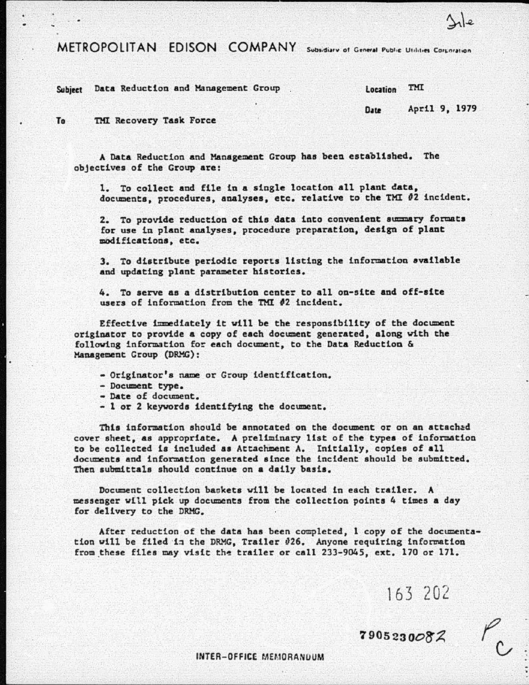METROPOLITAN EDISON COMPANY Subsidiary of General Public Utilities Corporation

Subject Data Reduction and Management Group ... [ocation TMI]

Vile

To THl Recovery Task Force

A Data Reduction and Management Group has been established. The objectives of the Group are:

1. To collect and file in a single location all plant data. documents. procedures. analyses. etc. relative to the TMI 02 incident.

2. To provide reduction of this data into convenient summary formats for use in plant analyses. procedure preparation. design of plant modifications. etc.

3. To distribute periodic reports listing the information available and updating plant parameter histories.

4. To serve as a distribution center to all on-site and off-site users of information froa the THI *12* incident.

Effective immediately it will be the responsibility of the document originator to provide a copy of each document generated, along with the following information for each document. to the Data Reduction & Management Croup (DRMG) :

- Originator's name or Group identification.
- 
- Date of document.
- 1 or 2 keywords identifying the document.

This information should be annotated on the document or on an attached cover sheet. as appropriate. A preliminary list of the types of information to be collected is included as Attachment A. Initially, copies of all documents and information generated since the incident should be submitted. Then submittals should continue on a daily basis.

Document collection baokets vill be located in each trailer. A messenger wltl pick up documents from the collection points 4 times a day for delivery to the DRMG.

After reduction of the data baa been completed, 1 copy of the documentation will be filed in the DRMG. Trailer  $\theta$ 26. Anyone requiring information from these files may visit the trailer or call 233-9045, ext. 170 or 171.

163 202

 $7905230082$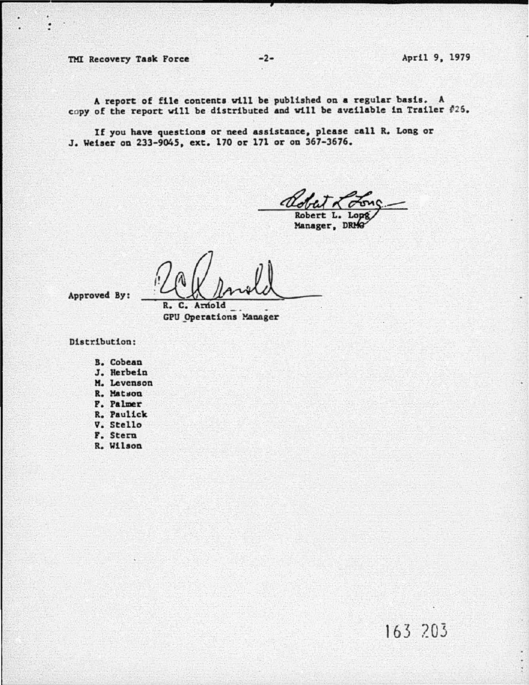TMI Recovery Task Force -2- April 9, 1979

A report of file contents vtll be published on a regular basis. A copy of the report will be distributed and will be available in Trailer #25.

If you have questions or need assistance, please call R. Long or J. Weiser on 233-904S, ext. 170 or 171 or on 367-3676.

Robert L.  $\frac{70005}{10008}$ 

Manager, D

Robert L. Lope

**GPU** Operations Manager

Approved By:

Distribution:

- B. Cobean
- J. Herbein
- H. Levenson
- R. Matson
- F. Palmer
- R. Paulick
- v. Stello
- F. Stern
- R. Wilson

163 203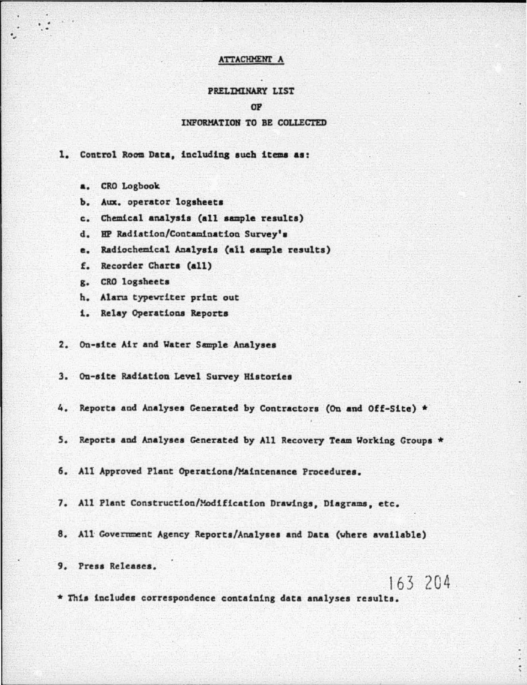## **ATTACHMENT A**

## PRELIMINARY LIST

#### OP

### INFORMATION TO BE COLLECTED

1. Control Room Data, including such items as:

- a. CRO Logbook
- b. Aux. operator logsheets
- c. Chemical analysis (all sample results)
- d. HP Radiation/Contamination Survey's
- e. Radiochemical Analysis (all sample results)
- f. Recorder Charts (all)
- g. CRO logsheets
- h. Alarm typewriter print out
- 1. Relay Operations Reports
- 2. On-site Air and Water Sample Analyses
- 3. On-site Radiation Level Survey Histories
- 4. Reports and Analyses Generated by Contractors (On and Off-Site) \*
- 5. Reports and Analyses Generated by All Recovery Team Working Groups \*
- 6. All Approved Plant Operations/Maintenance Procedures.
- 7. All Plant Construction/Modification Drawings, Diagrams, etc.
- 8. All Government Agency Reports/Analyses and Data (where available)

9. Press Releases.

163 204

\* This includes correspondence containing data analyses results.